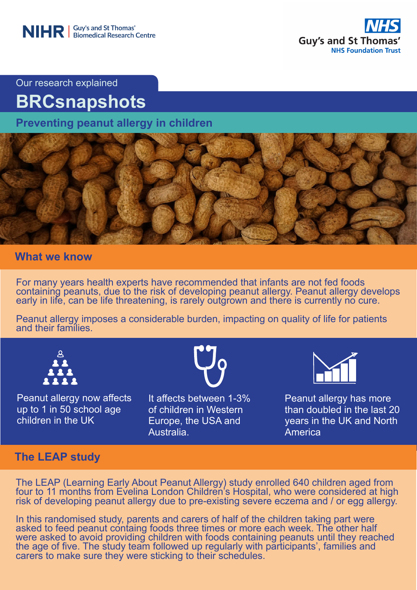

Our research explained

# **BRCsnapshots**

**Preventing peanut allergy in children**



## **What we know**

For many years health experts have recommended that infants are not fed foods containing peanuts, due to the risk of developing peanut allergy. Peanut allergy develops early in life, can be life threatening, is rarely outgrown and there is currently no cure.

Peanut allergy imposes a considerable burden, impacting on quality of life for patients and their families.



Peanut allergy now affects up to 1 in 50 school age children in the UK



It affects between 1-3% of children in Western Europe, the USA and Australia.



Peanut allergy has more than doubled in the last 20 years in the UK and North **America** 

## **The LEAP study**

The LEAP (Learning Early About Peanut Allergy) study enrolled 640 children aged from four to 11 months from Evelina London Children's Hospital, who were considered at high risk of developing peanut allergy due to pre-existing severe eczema and / or egg allergy.

carers to make sure they were sticking to their schedules.<br>' NHS Foundation Trust Trust Trust Trust Trust Trust Trust Trust Trust Trust Trust Trust Trust Trust Trust Tru In this randomised study, parents and carers of half of the children taking part were asked to feed peanut containg foods three times or more each week. The other half were asked to avoid providing children with foods containing peanuts until they reached the age of five. The study team followed up regularly with participants', families and